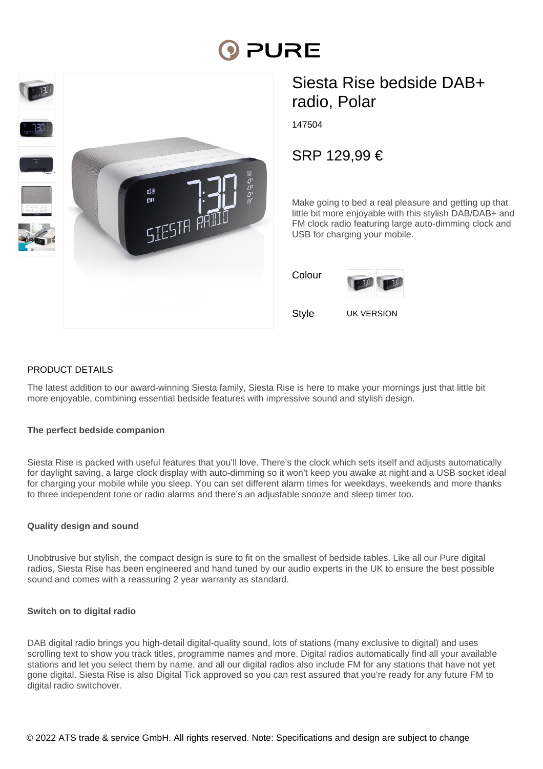# **PURE**



# Siesta Rise bedside DAB+ radio, Polar

147504

SRP 129,99 €

Make going to bed a real pleasure and getting up that little bit more enjoyable with this stylish DAB/DAB+ and FM clock radio featuring large auto-dimming clock and USB for charging your mobile.

| Colour |  |
|--------|--|
|        |  |



Style UK VERSION

PRODUCT DETAILS

The latest addition to our award-winning Siesta family, Siesta Rise is here to make your mornings just that little bit more enjoyable, combining essential bedside features with impressive sound and stylish design.

### **The perfect bedside companion**

Siesta Rise is packed with useful features that you'll love. There's the clock which sets itself and adjusts automatically for daylight saving, a large clock display with auto-dimming so it won't keep you awake at night and a USB socket ideal for charging your mobile while you sleep. You can set different alarm times for weekdays, weekends and more thanks to three independent tone or radio alarms and there's an adjustable snooze and sleep timer too.

#### **Quality design and sound**

Unobtrusive but stylish, the compact design is sure to fit on the smallest of bedside tables. Like all our Pure digital radios, Siesta Rise has been engineered and hand tuned by our audio experts in the UK to ensure the best possible sound and comes with a reassuring 2 year warranty as standard.

#### **Switch on to digital radio**

DAB digital radio brings you high-detail digital-quality sound, lots of stations (many exclusive to digital) and uses scrolling text to show you track titles, programme names and more. Digital radios automatically find all your available stations and let you select them by name, and all our digital radios also include FM for any stations that have not yet gone digital. Siesta Rise is also Digital Tick approved so you can rest assured that you're ready for any future FM to digital radio switchover.